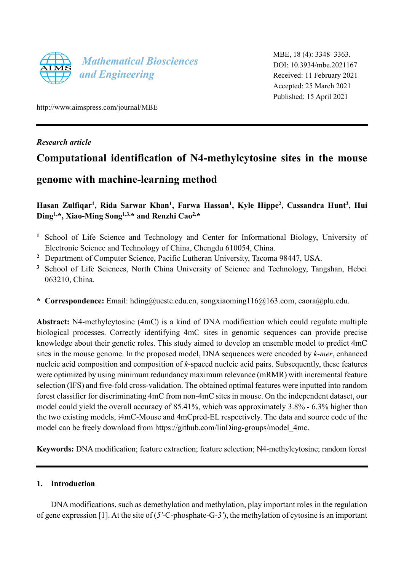

MBE, 18 (4): 3348–3363. DOI: 10.3934/mbe.2021167 Received: 11 February 2021 Accepted: 25 March 2021 Published: 15 April 2021

http://www.aimspress.com/journal/MBE

### *Research article*

# **Computational identification of N4-methylcytosine sites in the mouse**

## **genome with machine-learning method**

**Hasan Zulfiqar<sup>1</sup> , Rida Sarwar Khan<sup>1</sup> , Farwa Hassan<sup>1</sup> , Kyle Hippe<sup>2</sup> , Cassandra Hunt<sup>2</sup> , Hui Ding1,\*, Xiao-Ming Song1,3,\* and Renzhi Cao2,\***

- **<sup>1</sup>** School of Life Science and Technology and Center for Informational Biology, University of Electronic Science and Technology of China, Chengdu 610054, China.
- **<sup>2</sup>** Department of Computer Science, Pacific Lutheran University, Tacoma 98447, USA.
- <sup>3</sup> School of Life Sciences, North China University of Science and Technology, Tangshan, Hebei 063210, China.
- **\* Correspondence:** Email: [hding@uestc.edu.cn,](mailto:hding@uestc.edu.cn) songxiaoming116@163.com, [caora@plu.edu.](mailto:caora@plu.edu)

**Abstract:** N4-methylcytosine (4mC) is a kind of DNA modification which could regulate multiple biological processes. Correctly identifying 4mC sites in genomic sequences can provide precise knowledge about their genetic roles. This study aimed to develop an ensemble model to predict 4mC sites in the mouse genome. In the proposed model, DNA sequences were encoded by *k-mer*, enhanced nucleic acid composition and composition of *k*-spaced nucleic acid pairs. Subsequently, these features were optimized by using minimum redundancy maximum relevance (mRMR) with incremental feature selection (IFS) and five-fold cross-validation. The obtained optimal features were inputted into random forest classifier for discriminating 4mC from non-4mC sites in mouse. On the independent dataset, our model could yield the overall accuracy of 85.41%, which was approximately 3.8% - 6.3% higher than the two existing models, i4mC-Mouse and 4mCpred-EL respectively. The data and source code of the model can be freely download from [https://github.com/linDing-groups/model\\_4mc.](https://github.com/linDing-groups/model_4mc)

**Keywords:** DNA modification; feature extraction; feature selection; N4-methylcytosine; random forest

### **1. Introduction**

DNA modifications, such as demethylation and methylation, play important roles in the regulation of gene expression [1]. At the site of (*5'*-C-phosphate-G-*3'*), the methylation of cytosine is an important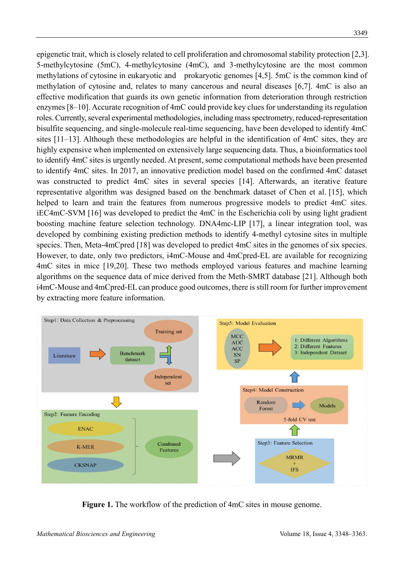epigenetic trait, which is closely related to cell proliferation and chromosomal stability protection [2,3]. 5-methylcytosine (5mC), 4-methylcytosine (4mC), and 3-methylcytosine are the most common methylations of cytosine in eukaryotic and prokaryotic genomes [4,5]. 5mC is the common kind of methylation of cytosine and, relates to many cancerous and neural diseases [6,7]. 4mC is also an effective modification that guards its own genetic information from deterioration through restriction enzymes [8–10]. Accurate recognition of 4mC could provide key clues for understanding its regulation roles. Currently, several experimental methodologies, including mass spectrometry, reduced-representation bisulfite sequencing, and single-molecule real-time sequencing, have been developed to identify 4mC sites [11–13]. Although these methodologies are helpful in the identification of 4mC sites, they are highly expensive when implemented on extensively large sequencing data. Thus, a bioinformatics tool to identify 4mC sites is urgently needed. At present, some computational methods have been presented to identify 4mC sites. In 2017, an innovative prediction model based on the confirmed 4mC dataset was constructed to predict 4mC sites in several species [14]. Afterwards, an iterative feature representative algorithm was designed based on the benchmark dataset of Chen et al. [15], which helped to learn and train the features from numerous progressive models to predict 4mC sites. iEC4mC-SVM [16] was developed to predict the 4mC in the Escherichia coli by using light gradient boosting machine feature selection technology. DNA4mc-LIP [17], a linear integration tool, was developed by combining existing prediction methods to identify 4-methyl cytosine sites in multiple species. Then, Meta-4mCpred [18] was developed to predict 4mC sites in the genomes of six species. However, to date, only two predictors, i4mC-Mouse and 4mCpred-EL are available for recognizing 4mC sites in mice [19,20]. These two methods employed various features and machine learning algorithms on the sequence data of mice derived from the Meth-SMRT database [21]. Although both i4mC-Mouse and 4mCpred-EL can produce good outcomes, there is still room for further improvement by extracting more feature information.



**Figure 1.** The workflow of the prediction of 4mC sites in mouse genome.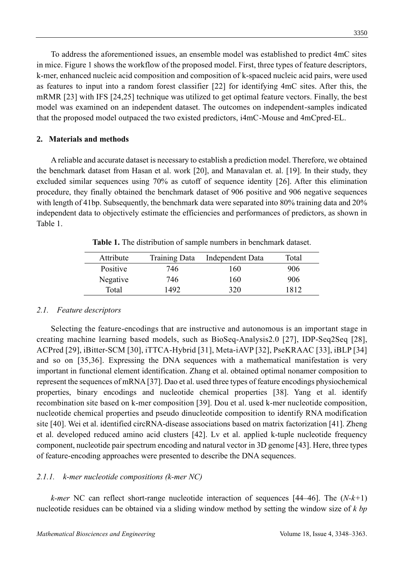To address the aforementioned issues, an ensemble model was established to predict 4mC sites in mice. Figure 1 shows the workflow of the proposed model. First, three types of feature descriptors, k-mer, enhanced nucleic acid composition and composition of k-spaced nucleic acid pairs, were used as features to input into a random forest classifier [22] for identifying 4mC sites. After this, the mRMR [23] with IFS [24,25] technique was utilized to get optimal feature vectors. Finally, the best model was examined on an independent dataset. The outcomes on independent-samples indicated that the proposed model outpaced the two existed predictors, i4mC-Mouse and 4mCpred-EL.

### **2. Materials and methods**

A reliable and accurate dataset is necessary to establish a prediction model. Therefore, we obtained the benchmark dataset from Hasan et al. work [20], and Manavalan et. al. [19]. In their study, they excluded similar sequences using 70% as cutoff of sequence identity [26]. After this elimination procedure, they finally obtained the benchmark dataset of 906 positive and 906 negative sequences with length of 41bp. Subsequently, the benchmark data were separated into 80% training data and 20% independent data to objectively estimate the efficiencies and performances of predictors, as shown in Table 1.

| Attribute | <b>Training Data</b> | Independent Data | Total |
|-----------|----------------------|------------------|-------|
| Positive  | 746.                 | 160              | 906   |
| Negative  | 746                  | 160              | 906   |
| Total     | 1492                 | 320              | 1812  |

**Table 1.** The distribution of sample numbers in benchmark dataset.

### *2.1. Feature descriptors*

Selecting the feature-encodings that are instructive and autonomous is an important stage in creating machine learning based models, such as BioSeq-Analysis2.0 [27], IDP-Seq2Seq [28], ACPred [29], iBitter-SCM [30], iTTCA-Hybrid [31], Meta-iAVP [32], PseKRAAC [33], iBLP [34] and so on [35,36]. Expressing the DNA sequences with a mathematical manifestation is very important in functional element identification. Zhang et al. obtained optimal nonamer composition to represent the sequences of mRNA [37]. Dao et al. used three types of feature encodings physiochemical properties, binary encodings and nucleotide chemical properties [38]. Yang et al. identify recombination site based on k-mer composition [39]. Dou et al. used k-mer nucleotide composition, nucleotide chemical properties and pseudo dinucleotide composition to identify RNA modification site [40]. Wei et al. identified circRNA-disease associations based on matrix factorization [41]. Zheng et al. developed reduced amino acid clusters [42]. Lv et al. applied k-tuple nucleotide frequency component, nucleotide pair spectrum encoding and natural vector in 3D genome [43]. Here, three types of feature-encoding approaches were presented to describe the DNA sequences.

### *2.1.1. k-mer nucleotide compositions (k-mer NC)*

*k-mer* NC can reflect short-range nucleotide interaction of sequences [44–46]. The (*N-k+*1) nucleotide residues can be obtained via a sliding window method by setting the window size of *k bp*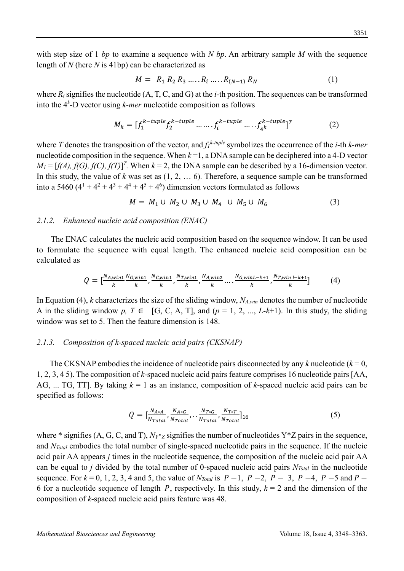with step size of 1 *bp* to examine a sequence with *N bp*. An arbitrary sample *M* with the sequence length of *N* (here *N* is 41bp) can be characterized as

$$
M = R_1 R_2 R_3 \dots R_i \dots R_{(N-1)} R_N \tag{1}
$$

where  $R_i$  signifies the nucleotide  $(A, T, C, and G)$  at the *i*-th position. The sequences can be transformed into the 4*<sup>k</sup>* -D vector using *k-mer* nucleotide composition as follows

$$
M_k = [f_1^{k-tuple} f_2^{k-tuple} \dots f_i^{k-tuple} \dots f_{4^k}^{k-tuple}]^T
$$
 (2)

where *T* denotes the transposition of the vector, and  $f_1^{k-tuple}$  symbolizes the occurrence of the *i*-th *k-mer* nucleotide composition in the sequence. When *k* =1, a DNA sample can be deciphered into a 4-D vector  $M_l = [f(A), f(G), f(C), f(T)]^T$ . When  $k = 2$ , the DNA sample can be described by a 16-dimension vector. In this study, the value of *k* was set as (1, 2, … 6)*.* Therefore, a sequence sample can be transformed into a 5460  $(4^1 + 4^2 + 4^3 + 4^4 + 4^5 + 4^6)$  dimension vectors formulated as follows

$$
M = M_1 \cup M_2 \cup M_3 \cup M_4 \cup M_5 \cup M_6 \tag{3}
$$

#### *2.1.2. Enhanced nucleic acid composition (ENAC)*

The ENAC calculates the nucleic acid composition based on the sequence window. It can be used to formulate the sequence with equal length. The enhanced nucleic acid composition can be calculated as

$$
Q = \left[\frac{N_{A,win1}}{k}, \frac{N_{G,win1}}{k}, \frac{N_{C,win1}}{k}, \frac{N_{T,win1}}{k}, \frac{N_{A,win2}}{k}, \dots, \frac{N_{G,winL-k+1}}{k}, \frac{N_{T,winL-k+1}}{k}\right]
$$
(4)

In Equation (4), *k* characterizes the size of the sliding window, *NA,win* denotes the number of nucleotide A in the sliding window  $p, T \in [G, C, A, T]$ , and  $(p = 1, 2, ..., L-k+1)$ . In this study, the sliding window was set to 5. Then the feature dimension is 148.

#### *2.1.3. Composition of k-spaced nucleic acid pairs (CKSNAP)*

The CKSNAP embodies the incidence of nucleotide pairs disconnected by any  $k$  nucleotide ( $k = 0$ , 1, 2, 3, 4 5). The composition of *k*-spaced nucleic acid pairs feature comprises 16 nucleotide pairs [AA, AG, ... TG, TT]. By taking *k* = 1 as an instance, composition of *k*-spaced nucleic acid pairs can be specified as follows:

$$
Q = \left[\frac{N_{A*A}}{N_{Total}}, \frac{N_{A*G}}{N_{Total}}, \dots, \frac{N_{T*G}}{N_{Total}}, \frac{N_{T*T}}{N_{Total}}\right]_{16} \tag{5}
$$

where \* signifies (A, G, C, and T),  $N_Y^*$  *z* signifies the number of nucleotides Y\*Z pairs in the sequence, and *NTotal* embodies the total number of single-spaced nucleotide pairs in the sequence. If the nucleic acid pair AA appears *j* times in the nucleotide sequence, the composition of the nucleic acid pair AA can be equal to *j* divided by the total number of 0-spaced nucleic acid pairs *NTotal* in the nucleotide sequence. For  $k = 0, 1, 2, 3, 4$  and 5, the value of  $N_{Total}$  is  $P-1$ ,  $P-2$ ,  $P-3$ ,  $P-4$ ,  $P-5$  and  $P-$ 6 for a nucleotide sequence of length P, respectively. In this study,  $k = 2$  and the dimension of the composition of *k*-spaced nucleic acid pairs feature was 48.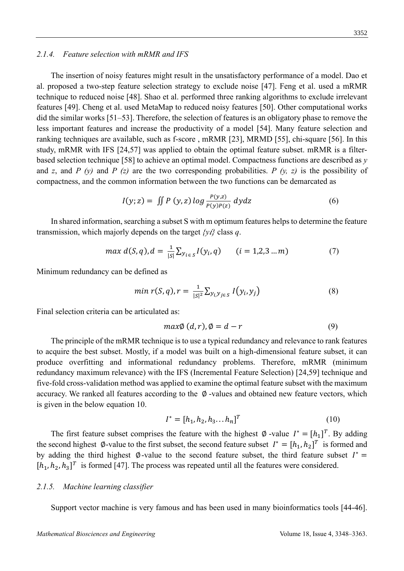#### *2.1.4. Feature selection with mRMR and IFS*

The insertion of noisy features might result in the unsatisfactory performance of a model. Dao et al. proposed a two-step feature selection strategy to exclude noise [47]. Feng et al. used a mRMR technique to reduced noise [48]. Shao et al. performed three ranking algorithms to exclude irrelevant features [49]. Cheng et al. used MetaMap to reduced noisy features [50]. Other computational works did the similar works [51–53]. Therefore, the selection of features is an obligatory phase to remove the less important features and increase the productivity of a model [54]. Many feature selection and ranking techniques are available, such as f-score , mRMR [23], MRMD [55], chi-square [56]. In this study, mRMR with IFS [24,57] was applied to obtain the optimal feature subset. mRMR is a filterbased selection technique [58] to achieve an optimal model. Compactness functions are described as *y* and *z*, and *P (y)* and *P (z)* are the two corresponding probabilities. *P (y, z)* is the possibility of compactness, and the common information between the two functions can be demarcated as

$$
I(y; z) = \iint P(y, z) \log \frac{P(y, z)}{P(y)P(z)} dy dz \tag{6}
$$

In shared information, searching a subset S with m optimum features helps to determine the feature transmission, which majorly depends on the target *{y}* class *q*.

$$
\max d(S, q), d = \frac{1}{|S|} \sum_{y_i \in S} I(y_i, q) \qquad (i = 1, 2, 3 \dots m) \tag{7}
$$

Minimum redundancy can be defined as

$$
\min r(S, q), r = \frac{1}{|S|^2} \sum_{y_i, y_{j \in S}} I(y_i, y_j) \tag{8}
$$

Final selection criteria can be articulated as:

$$
max\emptyset (d,r), \emptyset = d-r \tag{9}
$$

The principle of the mRMR technique is to use a typical redundancy and relevance to rank features to acquire the best subset. Mostly, if a model was built on a high-dimensional feature subset, it can produce overfitting and informational redundancy problems. Therefore, mRMR (minimum redundancy maximum relevance) with the IFS (Incremental Feature Selection) [24,59] technique and five-fold cross-validation method was applied to examine the optimal feature subset with the maximum accuracy. We ranked all features according to the  $\varnothing$  -values and obtained new feature vectors, which is given in the below equation 10.

$$
I^* = [h_1, h_2, h_3, \dots, h_n]^T
$$
 (10)

The first feature subset comprises the feature with the highest  $\emptyset$  -value  $I^* = [h_1]^T$ . By adding the second highest  $\emptyset$ -value to the first subset, the second feature subset  $I^* = [h_1, h_2]^T$  is formed and by adding the third highest Ø-value to the second feature subset, the third feature subset  $I^*$  =  $[h_1, h_2, h_3]^T$  is formed [47]. The process was repeated until all the features were considered.

#### *2.1.5. Machine learning classifier*

Support vector machine is very famous and has been used in many bioinformatics tools [44-46].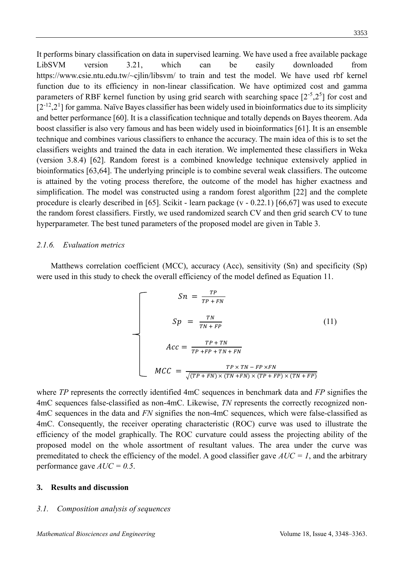It performs binary classification on data in supervised learning. We have used a free available package LibSVM version 3.21, which can be easily downloaded from https://www.csie.ntu.edu.tw/~cjlin/libsvm/ to train and test the model. We have used rbf kernel function due to its efficiency in non-linear classification. We have optimized cost and gamma parameters of RBF kernel function by using grid search with searching space  $[2<sup>-5</sup>,2<sup>5</sup>]$  for cost and  $[2^{-12}, 2^1]$  for gamma. Naïve Bayes classifier has been widely used in bioinformatics due to its simplicity and better performance [60]. It is a classification technique and totally depends on Bayes theorem. Ada boost classifier is also very famous and has been widely used in bioinformatics [61]. It is an ensemble technique and combines various classifiers to enhance the accuracy. The main idea of this is to set the classifiers weights and trained the data in each iteration. We implemented these classifiers in Weka (version 3.8.4) [62]. Random forest is a combined knowledge technique extensively applied in bioinformatics [63,64]. The underlying principle is to combine several weak classifiers. The outcome is attained by the voting process therefore, the outcome of the model has higher exactness and simplification. The model was constructed using a random forest algorithm [22] and the complete procedure is clearly described in [65]. Scikit - learn package (v - 0.22.1) [66,67] was used to execute the random forest classifiers. Firstly, we used randomized search CV and then grid search CV to tune hyperparameter. The best tuned parameters of the proposed model are given in Table 3.

#### *2.1.6. Evaluation metrics*

Matthews correlation coefficient (MCC), accuracy (Acc), sensitivity (Sn) and specificity (Sp) were used in this study to check the overall efficiency of the model defined as Equation 11.

$$
Sn = \frac{TP}{TP + FN}
$$
  
\n
$$
Sp = \frac{TN}{TN + FP}
$$
  
\n
$$
Acc = \frac{TP + TN}{TP + FP + TN + FN}
$$
  
\n
$$
MCC = \frac{TP \times TN - FP \times FN}{\sqrt{(TP + FN) \times (TN + FP) \times (TP + FP) \times (TN + FP)}}
$$

where *TP* represents the correctly identified 4mC sequences in benchmark data and *FP* signifies the 4mC sequences false-classified as non-4mC. Likewise, *TN* represents the correctly recognized non-4mC sequences in the data and *FN* signifies the non-4mC sequences, which were false-classified as 4mC. Consequently, the receiver operating characteristic (ROC) curve was used to illustrate the efficiency of the model graphically. The ROC curvature could assess the projecting ability of the proposed model on the whole assortment of resultant values. The area under the curve was premeditated to check the efficiency of the model. A good classifier gave  $AUC = I$ , and the arbitrary performance gave *AUC = 0.5*.

#### **3. Results and discussion**

#### *3.1. Composition analysis of sequences*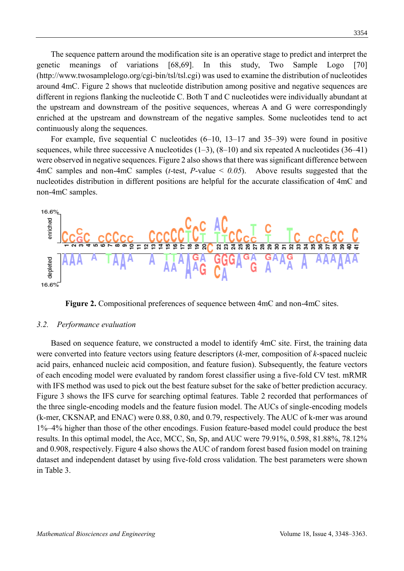The sequence pattern around the modification site is an operative stage to predict and interpret the genetic meanings of variations [68,69]. In this study, Two Sample Logo [70] (http://www.twosamplelogo.org/cgi-bin/tsl/tsl.cgi) was used to examine the distribution of nucleotides around 4mC. Figure 2 shows that nucleotide distribution among positive and negative sequences are different in regions flanking the nucleotide C. Both T and C nucleotides were individually abundant at the upstream and downstream of the positive sequences, whereas A and G were correspondingly enriched at the upstream and downstream of the negative samples. Some nucleotides tend to act continuously along the sequences.

For example, five sequential C nucleotides  $(6-10, 13-17, 35-39)$  were found in positive sequences, while three successive A nucleotides  $(1-3)$ ,  $(8-10)$  and six repeated A nucleotides  $(36-41)$ were observed in negative sequences. Figure 2 also shows that there was significant difference between 4mC samples and non-4mC samples (*t*-test, *P*-value < *0.05*). Above results suggested that the nucleotides distribution in different positions are helpful for the accurate classification of 4mC and non-4mC samples.



**Figure 2.** Compositional preferences of sequence between 4mC and non-4mC sites.

#### *3.2. Performance evaluation*

Based on sequence feature, we constructed a model to identify 4mC site. First, the training data were converted into feature vectors using feature descriptors (*k*-mer, composition of *k*-spaced nucleic acid pairs, enhanced nucleic acid composition, and feature fusion). Subsequently, the feature vectors of each encoding model were evaluated by random forest classifier using a five-fold CV test. mRMR with IFS method was used to pick out the best feature subset for the sake of better prediction accuracy. Figure 3 shows the IFS curve for searching optimal features. Table 2 recorded that performances of the three single-encoding models and the feature fusion model. The AUCs of single-encoding models (k-mer, CKSNAP, and ENAC) were 0.88, 0.80, and 0.79, respectively. The AUC of k-mer was around 1%–4% higher than those of the other encodings. Fusion feature-based model could produce the best results. In this optimal model, the Acc, MCC, Sn, Sp, and AUC were 79.91%, 0.598, 81.88%, 78.12% and 0.908, respectively. Figure 4 also shows the AUC of random forest based fusion model on training dataset and independent dataset by using five-fold cross validation. The best parameters were shown in Table 3.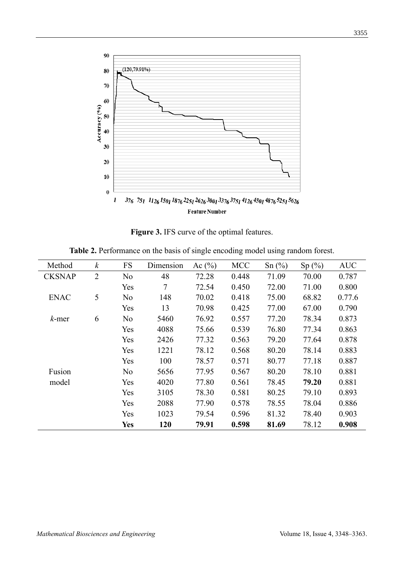

**Figure 3.** IFS curve of the optimal features.

| Method        | $\boldsymbol{k}$ | <b>FS</b>      | Dimension | Ac $(\% )$ | <b>MCC</b> | Sn(%) | Sp(%) | <b>AUC</b> |
|---------------|------------------|----------------|-----------|------------|------------|-------|-------|------------|
| <b>CKSNAP</b> | $\overline{2}$   | N <sub>o</sub> | 48        | 72.28      | 0.448      | 71.09 | 70.00 | 0.787      |
|               |                  | Yes            | 7         | 72.54      | 0.450      | 72.00 | 71.00 | 0.800      |
| <b>ENAC</b>   | 5                | N <sub>o</sub> | 148       | 70.02      | 0.418      | 75.00 | 68.82 | 0.77.6     |
|               |                  | Yes            | 13        | 70.98      | 0.425      | 77.00 | 67.00 | 0.790      |
| $k$ -mer      | 6                | N <sub>o</sub> | 5460      | 76.92      | 0.557      | 77.20 | 78.34 | 0.873      |
|               |                  | Yes            | 4088      | 75.66      | 0.539      | 76.80 | 77.34 | 0.863      |
|               |                  | Yes            | 2426      | 77.32      | 0.563      | 79.20 | 77.64 | 0.878      |
|               |                  | Yes            | 1221      | 78.12      | 0.568      | 80.20 | 78.14 | 0.883      |
|               |                  | Yes            | 100       | 78.57      | 0.571      | 80.77 | 77.18 | 0.887      |
| Fusion        |                  | No             | 5656      | 77.95      | 0.567      | 80.20 | 78.10 | 0.881      |
| model         |                  | Yes            | 4020      | 77.80      | 0.561      | 78.45 | 79.20 | 0.881      |
|               |                  | Yes            | 3105      | 78.30      | 0.581      | 80.25 | 79.10 | 0.893      |
|               |                  | Yes            | 2088      | 77.90      | 0.578      | 78.55 | 78.04 | 0.886      |
|               |                  | Yes            | 1023      | 79.54      | 0.596      | 81.32 | 78.40 | 0.903      |
|               |                  | <b>Yes</b>     | 120       | 79.91      | 0.598      | 81.69 | 78.12 | 0.908      |

**Table 2.** Performance on the basis of single encoding model using random forest.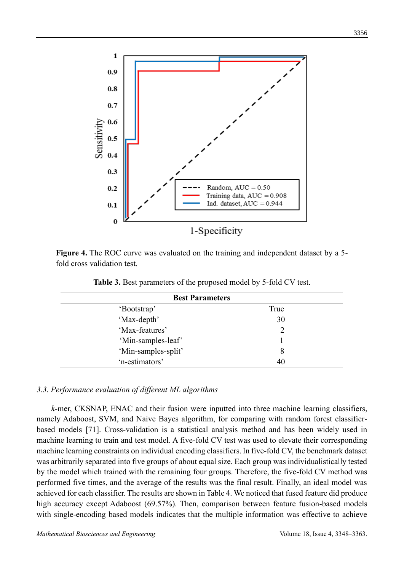

**Figure 4.** The ROC curve was evaluated on the training and independent dataset by a 5 fold cross validation test.

| <b>Best Parameters</b> |      |  |  |  |  |
|------------------------|------|--|--|--|--|
| 'Bootstrap'            | True |  |  |  |  |
| 'Max-depth'            | 30   |  |  |  |  |
| 'Max-features'         |      |  |  |  |  |
| 'Min-samples-leaf'     |      |  |  |  |  |
| 'Min-samples-split'    | 8    |  |  |  |  |
| 'n-estimators'         | 40   |  |  |  |  |

**Table 3.** Best parameters of the proposed model by 5-fold CV test.

#### *3.3. Performance evaluation of different ML algorithms*

*k*-mer, CKSNAP, ENAC and their fusion were inputted into three machine learning classifiers, namely Adaboost, SVM, and Naive Bayes algorithm, for comparing with random forest classifierbased models [71]. Cross-validation is a statistical analysis method and has been widely used in machine learning to train and test model. A five-fold CV test was used to elevate their corresponding machine learning constraints on individual encoding classifiers.In five-fold CV, the benchmark dataset was arbitrarily separated into five groups of about equal size. Each group was individualistically tested by the model which trained with the remaining four groups. Therefore, the five-fold CV method was performed five times, and the average of the results was the final result. Finally, an ideal model was achieved for each classifier. The results are shown in Table 4. We noticed that fused feature did produce high accuracy except Adaboost (69.57%). Then, comparison between feature fusion-based models with single-encoding based models indicates that the multiple information was effective to achieve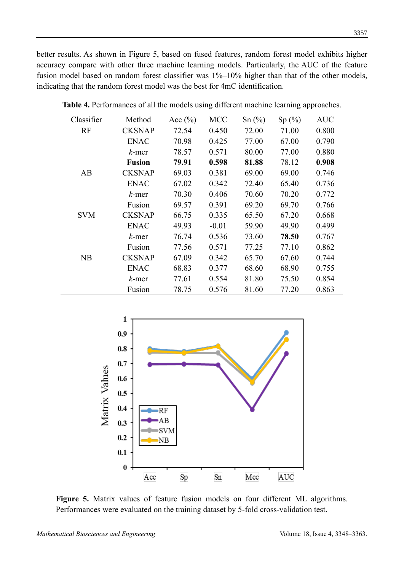better results. As shown in Figure 5, based on fused features, random forest model exhibits higher accuracy compare with other three machine learning models. Particularly, the AUC of the feature fusion model based on random forest classifier was 1%–10% higher than that of the other models, indicating that the random forest model was the best for 4mC identification.

| Classifier | Method        | Acc $(\% )$ | MCC     | Sn(%) | Sp(%) | <b>AUC</b> |
|------------|---------------|-------------|---------|-------|-------|------------|
| <b>RF</b>  | <b>CKSNAP</b> | 72.54       | 0.450   | 72.00 | 71.00 | 0.800      |
|            | <b>ENAC</b>   | 70.98       | 0.425   | 77.00 | 67.00 | 0.790      |
|            | $k$ -mer      | 78.57       | 0.571   | 80.00 | 77.00 | 0.880      |
|            | <b>Fusion</b> | 79.91       | 0.598   | 81.88 | 78.12 | 0.908      |
| AB         | <b>CKSNAP</b> | 69.03       | 0.381   | 69.00 | 69.00 | 0.746      |
|            | <b>ENAC</b>   | 67.02       | 0.342   | 72.40 | 65.40 | 0.736      |
|            | $k$ -mer      | 70.30       | 0.406   | 70.60 | 70.20 | 0.772      |
|            | Fusion        | 69.57       | 0.391   | 69.20 | 69.70 | 0.766      |
| <b>SVM</b> | <b>CKSNAP</b> | 66.75       | 0.335   | 65.50 | 67.20 | 0.668      |
|            | <b>ENAC</b>   | 49.93       | $-0.01$ | 59.90 | 49.90 | 0.499      |
|            | k-mer         | 76.74       | 0.536   | 73.60 | 78.50 | 0.767      |
|            | Fusion        | 77.56       | 0.571   | 77.25 | 77.10 | 0.862      |
| NB         | <b>CKSNAP</b> | 67.09       | 0.342   | 65.70 | 67.60 | 0.744      |
|            | <b>ENAC</b>   | 68.83       | 0.377   | 68.60 | 68.90 | 0.755      |
|            | $k$ -mer      | 77.61       | 0.554   | 81.80 | 75.50 | 0.854      |
|            | Fusion        | 78.75       | 0.576   | 81.60 | 77.20 | 0.863      |

**Table 4.** Performances of all the models using different machine learning approaches.



**Figure 5.** Matrix values of feature fusion models on four different ML algorithms. Performances were evaluated on the training dataset by 5-fold cross-validation test.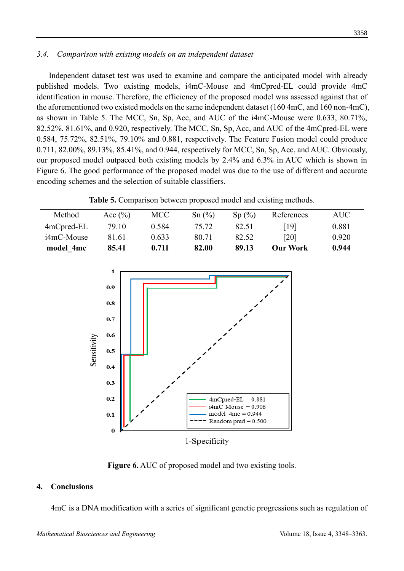### *3.4. Comparison with existing models on an independent dataset*

 Independent dataset test was used to examine and compare the anticipated model with already published models. Two existing models, i4mC-Mouse and 4mCpred-EL could provide 4mC identification in mouse. Therefore, the efficiency of the proposed model was assessed against that of the aforementioned two existed models on the same independent dataset (160 4mC, and 160 non-4mC), as shown in Table 5. The MCC, Sn, Sp, Acc, and AUC of the i4mC-Mouse were 0.633, 80.71%, 82.52%, 81.61%, and 0.920, respectively. The MCC, Sn, Sp, Acc, and AUC of the 4mCpred-EL were 0.584, 75.72%, 82.51%, 79.10% and 0.881, respectively. The Feature Fusion model could produce 0.711, 82.00%, 89.13%, 85.41%, and 0.944, respectively for MCC, Sn, Sp, Acc, and AUC. Obviously, our proposed model outpaced both existing models by 2.4% and 6.3% in AUC which is shown in Figure 6. The good performance of the proposed model was due to the use of different and accurate encoding schemes and the selection of suitable classifiers.

**Table 5.** Comparison between proposed model and existing methods.

| Method        | Acc $(\% )$ | MCC   | Sn(%) | Sp(%) | References      | AUC-  |
|---------------|-------------|-------|-------|-------|-----------------|-------|
| $4mC$ pred-EL | 79.10       | 0.584 | 75.72 | 82.51 | [19]            | 0.881 |
| i4mC-Mouse    | 81.61       | 0.633 | 80.71 | 82.52 | [20]            | 0.920 |
| model 4mc     | 85.41       | 0.711 | 82.00 | 89.13 | <b>Our Work</b> | 0.944 |



**Figure 6.** AUC of proposed model and two existing tools.

### **4. Conclusions**

4mC is a DNA modification with a series of significant genetic progressions such as regulation of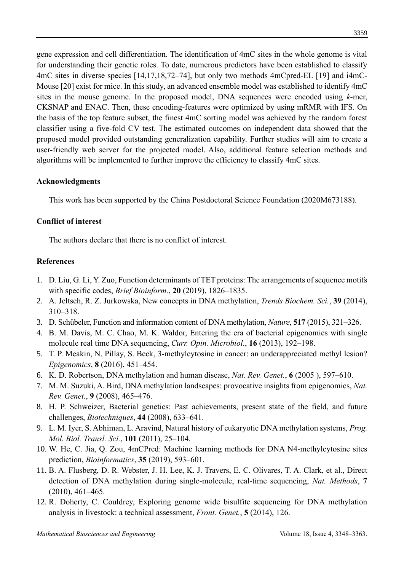3359

gene expression and cell differentiation. The identification of 4mC sites in the whole genome is vital for understanding their genetic roles. To date, numerous predictors have been established to classify 4mC sites in diverse species [14,17,18,72–74], but only two methods 4mCpred-EL [19] and i4mC-Mouse [20] exist for mice. In this study, an advanced ensemble model was established to identify 4mC sites in the mouse genome. In the proposed model, DNA sequences were encoded using *k*-mer, CKSNAP and ENAC. Then, these encoding-features were optimized by using mRMR with IFS. On the basis of the top feature subset, the finest 4mC sorting model was achieved by the random forest classifier using a five-fold CV test. The estimated outcomes on independent data showed that the proposed model provided outstanding generalization capability. Further studies will aim to create a user-friendly web server for the projected model. Also, additional feature selection methods and algorithms will be implemented to further improve the efficiency to classify 4mC sites.

### **Acknowledgments**

This work has been supported by the China Postdoctoral Science Foundation (2020M673188).

### **Conflict of interest**

The authors declare that there is no conflict of interest.

### **References**

- 1. D. Liu, G. Li, Y. Zuo, Function determinants of TET proteins: The arrangements of sequence motifs with specific codes, *Brief Bioinform.*, **20** (2019), 1826–1835.
- 2. A. Jeltsch, R. Z. Jurkowska, New concepts in DNA methylation, *Trends Biochem. Sci.*, **39** (2014), 310–318.
- 3. D. Schübeler, Function and information content of DNA methylation, *Nature*, **517** (2015), 321–326.
- 4. B. M. Davis, M. C. Chao, M. K. Waldor, Entering the era of bacterial epigenomics with single molecule real time DNA sequencing, *Curr. Opin. Microbiol.*, **16** (2013), 192–198.
- 5. T. P. Meakin, N. Pillay, S. Beck, 3-methylcytosine in cancer: an underappreciated methyl lesion? *Epigenomics*, **8** (2016), 451–454.
- 6. K. D. Robertson, DNA methylation and human disease, *Nat. Rev. Genet.*, **6** (2005 ), 597–610.
- 7. M. M. Suzuki, A. Bird, DNA methylation landscapes: provocative insights from epigenomics, *Nat. Rev. Genet.*, **9** (2008), 465–476.
- 8. H. P. Schweizer, Bacterial genetics: Past achievements, present state of the field, and future challenges, *Biotechniques*, **44** (2008), 633–641.
- 9. L. M. Iyer, S. Abhiman, L. Aravind, Natural history of eukaryotic DNA methylation systems, *Prog. Mol. Biol. Transl. Sci.*, **101** (2011), 25–104.
- 10. W. He, C. Jia, Q. Zou, 4mCPred: Machine learning methods for DNA N4-methylcytosine sites prediction, *Bioinformatics*, **35** (2019), 593–601.
- 11. B. A. Flusberg, D. R. Webster, J. H. Lee, K. J. Travers, E. C. Olivares, T. A. Clark, et al., Direct detection of DNA methylation during single-molecule, real-time sequencing, *Nat. Methods*, **7** (2010), 461–465.
- 12. R. Doherty, C. Couldrey, Exploring genome wide bisulfite sequencing for DNA methylation analysis in livestock: a technical assessment, *Front. Genet.*, **5** (2014), 126.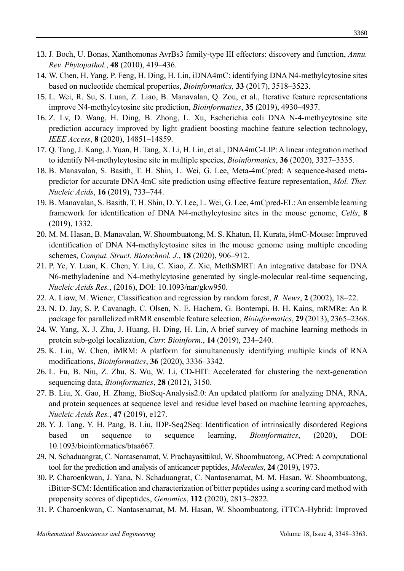- 13. J. Boch, U. Bonas, Xanthomonas AvrBs3 family-type III effectors: discovery and function, *Annu. Rev. Phytopathol.*, **48** (2010), 419–436.
- 14. W. Chen, H. Yang, P. Feng, H. Ding, H. Lin, iDNA4mC: identifying DNA N4-methylcytosine sites based on nucleotide chemical properties, *Bioinformatics,* **33** (2017), 3518–3523.
- 15. L. Wei, R. Su, S. Luan, Z. Liao, B. Manavalan, Q. Zou, et al., Iterative feature representations improve N4-methylcytosine site prediction, *Bioinformatics*, **35** (2019), 4930–4937.
- 16. Z. Lv, D. Wang, H. Ding, B. Zhong, L. Xu, Escherichia coli DNA N-4-methycytosine site prediction accuracy improved by light gradient boosting machine feature selection technology, *IEEE Access*, **8** (2020), 14851–14859.
- 17. Q. Tang, J. Kang, J. Yuan, H. Tang, X. Li, H. Lin, et al., DNA4mC-LIP: A linear integration method to identify N4-methylcytosine site in multiple species, *Bioinformatics*, **36** (2020), 3327–3335.
- 18. B. Manavalan, S. Basith, T. H. Shin, L. Wei, G. Lee, Meta-4mCpred: A sequence-based metapredictor for accurate DNA 4mC site prediction using effective feature representation, *Mol. Ther. Nucleic Acids*, **16** (2019), 733–744.
- 19. B. Manavalan, S. Basith, T. H. Shin, D. Y. Lee, L. Wei, G. Lee, 4mCpred-EL: An ensemble learning framework for identification of DNA N4-methylcytosine sites in the mouse genome, *Cells*, **8** (2019), 1332.
- 20. M. M. Hasan, B. Manavalan, W. Shoombuatong, M. S. Khatun, H. Kurata, i4mC-Mouse: Improved identification of DNA N4-methylcytosine sites in the mouse genome using multiple encoding schemes, *Comput. Struct. Biotechnol. J.*, **18** (2020), 906–912.
- 21. P. Ye, Y. Luan, K. Chen, Y. Liu, C. Xiao, Z. Xie, MethSMRT: An integrative database for DNA N6-methyladenine and N4-methylcytosine generated by single-molecular real-time sequencing, *Nucleic Acids Res.*, (2016), DOI: 10.1093/nar/gkw950.
- 22. A. Liaw, M. Wiener, Classification and regression by random forest, *R. News*, **2** (2002), 18–22.
- 23. N. D. Jay, S. P. Cavanagh, C. Olsen, N. E. Hachem, G. Bontempi, B. H. Kains, mRMRe: An R package for parallelized mRMR ensemble feature selection, *Bioinformatics*, **29** (2013), 2365–2368.
- 24. W. Yang, X. J. Zhu, J. Huang, H. Ding, H. Lin, A brief survey of machine learning methods in protein sub-golgi localization, *Curr. Bioinform.*, **14** (2019), 234–240.
- 25. K. Liu, W. Chen, iMRM: A platform for simultaneously identifying multiple kinds of RNA modifications, *Bioinformatics*, **36** (2020), 3336–3342.
- 26. L. Fu, B. Niu, Z. Zhu, S. Wu, W. Li, CD-HIT: Accelerated for clustering the next-generation sequencing data, *Bioinformatics*, **28** (2012), 3150.
- 27. B. Liu, X. Gao, H. Zhang, BioSeq-Analysis2.0: An updated platform for analyzing DNA, RNA, and protein sequences at sequence level and residue level based on machine learning approaches, *Nucleic Acids Res.*, **47** (2019), e127.
- 28. Y. J. Tang, Y. H. Pang, B. Liu, IDP-Seq2Seq: Identification of intrinsically disordered Regions based on sequence to sequence learning, *Bioinformaitcs*, (2020), DOI: 10.1093/bioinformatics/btaa667.
- 29. N. Schaduangrat, C. Nantasenamat, V. Prachayasittikul, W. Shoombuatong, ACPred: A computational tool for the prediction and analysis of anticancer peptides, *Molecules*, **24** (2019), 1973.
- 30. P. Charoenkwan, J. Yana, N. Schaduangrat, C. Nantasenamat, M. M. Hasan, W. Shoombuatong, iBitter-SCM: Identification and characterization of bitter peptides using a scoring card method with propensity scores of dipeptides, *Genomics*, **112** (2020), 2813–2822.
- 31. P. Charoenkwan, C. Nantasenamat, M. M. Hasan, W. Shoombuatong, iTTCA-Hybrid: Improved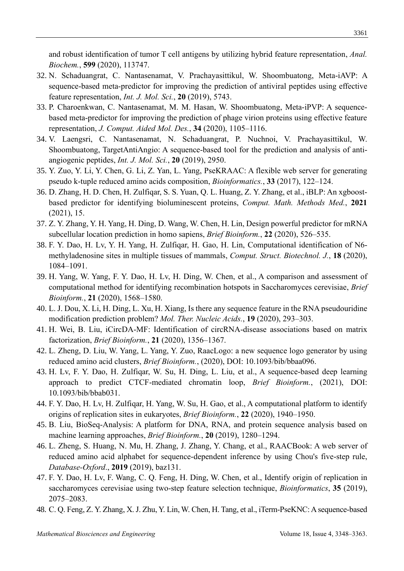and robust identification of tumor T cell antigens by utilizing hybrid feature representation, *Anal. Biochem.*, **599** (2020), 113747.

- 32. N. Schaduangrat, C. Nantasenamat, V. Prachayasittikul, W. Shoombuatong, Meta-iAVP: A sequence-based meta-predictor for improving the prediction of antiviral peptides using effective feature representation, *Int. J. Mol. Sci.*, **20** (2019), 5743.
- 33. P. Charoenkwan, C. Nantasenamat, M. M. Hasan, W. Shoombuatong, Meta-iPVP: A sequencebased meta-predictor for improving the prediction of phage virion proteins using effective feature representation, *J. Comput. Aided Mol. Des.*, **34** (2020), 1105–1116.
- 34. V. Laengsri, C. Nantasenamat, N. Schaduangrat, P. Nuchnoi, V. Prachayasittikul, W. Shoombuatong, TargetAntiAngio: A sequence-based tool for the prediction and analysis of antiangiogenic peptides, *Int. J. Mol. Sci.*, **20** (2019), 2950.
- 35. Y. Zuo, Y. Li, Y. Chen, G. Li, Z. Yan, L. Yang, PseKRAAC: A flexible web server for generating pseudo k-tuple reduced amino acids composition, *Bioinformatics.*, **33** (2017), 122–124.
- 36. D. Zhang, H. D. Chen, H. Zulfiqar, S. S. Yuan, Q. L. Huang, Z. Y. Zhang, et al., iBLP: An xgboostbased predictor for identifying bioluminescent proteins, *Comput. Math. Methods Med.*, **2021** (2021), 15.
- 37. Z. Y. Zhang, Y. H. Yang, H. Ding, D. Wang, W. Chen, H. Lin, Design powerful predictor for mRNA subcellular location prediction in homo sapiens, *Brief Bioinform.*, **22** (2020), 526–535.
- 38. F. Y. Dao, H. Lv, Y. H. Yang, H. Zulfiqar, H. Gao, H. Lin, Computational identification of N6 methyladenosine sites in multiple tissues of mammals, *Comput. Struct. Biotechnol. J.*, **18** (2020), 1084–1091.
- 39. H. Yang, W. Yang, F. Y. Dao, H. Lv, H. Ding, W. Chen, et al., A comparison and assessment of computational method for identifying recombination hotspots in Saccharomyces cerevisiae, *Brief Bioinform.*, **21** (2020), 1568–1580.
- 40. L. J. Dou, X. Li, H. Ding, L. Xu, H. Xiang, Is there any sequence feature in the RNA pseudouridine modification prediction problem? *Mol. Ther. Nucleic Acids.*, **19** (2020), 293–303.
- 41. H. Wei, B. Liu, iCircDA-MF: Identification of circRNA-disease associations based on matrix factorization, *Brief Bioinform.*, **21** (2020), 1356–1367.
- 42. L. Zheng, D. Liu, W. Yang, L. Yang, Y. Zuo, RaacLogo: a new sequence logo generator by using reduced amino acid clusters, *Brief Bioinform.*, (2020), DOI: 10.1093/bib/bbaa096.
- 43. H. Lv, F. Y. Dao, H. Zulfiqar, W. Su, H. Ding, L. Liu, et al., A sequence-based deep learning approach to predict CTCF-mediated chromatin loop, *Brief Bioinform.*, (2021), DOI: 10.1093/bib/bbab031.
- 44. F. Y. Dao, H. Lv, H. Zulfiqar, H. Yang, W. Su, H. Gao, et al., A computational platform to identify origins of replication sites in eukaryotes, *Brief Bioinform.*, **22** (2020), 1940–1950.
- 45. B. Liu, BioSeq-Analysis: A platform for DNA, RNA, and protein sequence analysis based on machine learning approaches, *Brief Bioinform.*, **20** (2019), 1280–1294.
- 46. L. Zheng, S. Huang, N. Mu, H. Zhang, J. Zhang, Y. Chang, et al., RAACBook: A web server of reduced amino acid alphabet for sequence-dependent inference by using Chou's five-step rule, *Database-Oxford*., **2019** (2019), baz131.
- 47. F. Y. Dao, H. Lv, F. Wang, C. Q. Feng, H. Ding, W. Chen, et al., Identify origin of replication in saccharomyces cerevisiae using two-step feature selection technique, *Bioinformatics*, **35** (2019), 2075–2083.
- 48. C. Q. Feng, Z. Y. Zhang, X. J. Zhu, Y. Lin, W. Chen, H. Tang, et al., iTerm-PseKNC: Asequence-based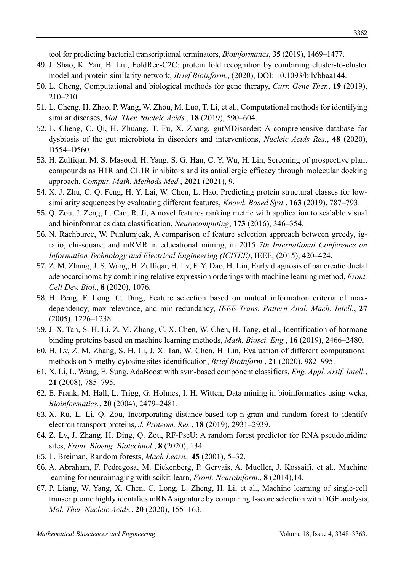tool for predicting bacterial transcriptional terminators, *Bioinformatics*, **35** (2019), 1469–1477.

- 49. J. Shao, K. Yan, B. Liu, FoldRec-C2C: protein fold recognition by combining cluster-to-cluster model and protein similarity network, *Brief Bioinform.*, (2020), DOI: 10.1093/bib/bbaa144.
- 50. L. Cheng, Computational and biological methods for gene therapy, *Curr. Gene Ther.*, **19** (2019), 210–210.
- 51. L. Cheng, H. Zhao, P. Wang, W. Zhou, M. Luo, T. Li, et al., Computational methods for identifying similar diseases, *Mol. Ther. Nucleic Acids.*, **18** (2019), 590–604.
- 52. L. Cheng, C. Qi, H. Zhuang, T. Fu, X. Zhang, gutMDisorder: A comprehensive database for dysbiosis of the gut microbiota in disorders and interventions, *Nucleic Acids Res.*, **48** (2020), D554–D560.
- 53. H. Zulfiqar, M. S. Masoud, H. Yang, S. G. Han, C. Y. Wu, H. Lin, Screening of prospective plant compounds as H1R and CL1R inhibitors and its antiallergic efficacy through molecular docking approach, *Comput. Math. Methods Med.*, **2021** (2021), 9.
- 54. X. J. Zhu, C. Q. Feng, H. Y. Lai, W. Chen, L. Hao, Predicting protein structural classes for lowsimilarity sequences by evaluating different features, *Knowl. Based Syst.*, **163** (2019), 787–793.
- 55. Q. Zou, J. Zeng, L. Cao, R. Ji, A novel features ranking metric with application to scalable visual and bioinformatics data classification, *Neurocomputing*, **173** (2016), 346–354.
- 56. N. Rachburee, W. Punlumjeak, A comparison of feature selection approach between greedy, igratio, chi-square, and mRMR in educational mining, in 2015 *7th International Conference on Information Technology and Electrical Engineering (ICITEE)*, IEEE, (2015), 420–424.
- 57. Z. M. Zhang, J. S. Wang, H. Zulfiqar, H. Lv, F. Y. Dao, H. Lin, Early diagnosis of pancreatic ductal adenocarcinoma by combining relative expression orderings with machine learning method, *Front. Cell Dev. Biol.*, **8** (2020), 1076.
- 58. H. Peng, F. Long, C. Ding, Feature selection based on mutual information criteria of maxdependency, max-relevance, and min-redundancy, *IEEE Trans. Pattern Anal. Mach. Intell.*, **27** (2005), 1226–1238.
- 59. J. X. Tan, S. H. Li, Z. M. Zhang, C. X. Chen, W. Chen, H. Tang, et al., Identification of hormone binding proteins based on machine learning methods, *Math. Biosci. Eng.*, **16** (2019), 2466–2480.
- 60. H. Lv, Z. M. Zhang, S. H. Li, J. X. Tan, W. Chen, H. Lin, Evaluation of different computational methods on 5-methylcytosine sites identification, *Brief Bioinform.*, **21** (2020), 982–995.
- 61. X. Li, L. Wang, E. Sung, AdaBoost with svm-based component classifiers, *Eng. Appl. Artif. Intell.*, **21** (2008), 785–795.
- 62. E. Frank, M. Hall, L. Trigg, G. Holmes, I. H. Witten, Data mining in bioinformatics using weka, *Bioinformatics.*, **20** (2004), 2479–2481.
- 63. X. Ru, L. Li, Q. Zou, Incorporating distance-based top-n-gram and random forest to identify electron transport proteins, *J. Proteom. Res.*, **18** (2019), 2931–2939.
- 64. Z. Lv, J. Zhang, H. Ding, Q. Zou, RF-PseU: A random forest predictor for RNA pseudouridine sites, *Front. Bioeng. Biotechnol.*, **8** (2020), 134.
- 65. L. Breiman, Random forests, *Mach Learn.,* **45** (2001), 5–32.
- 66. A. Abraham, F. Pedregosa, M. Eickenberg, P. Gervais, A. Mueller, J. Kossaifi, et al., Machine learning for neuroimaging with scikit-learn, *Front. Neuroinform.*, **8** (2014),14.
- 67. P. Liang, W. Yang, X. Chen, C. Long, L. Zheng, H. Li, et al., Machine learning of single-cell transcriptome highly identifies mRNA signature by comparing f-score selection with DGE analysis, *Mol. Ther. Nucleic Acids.*, **20** (2020), 155–163.